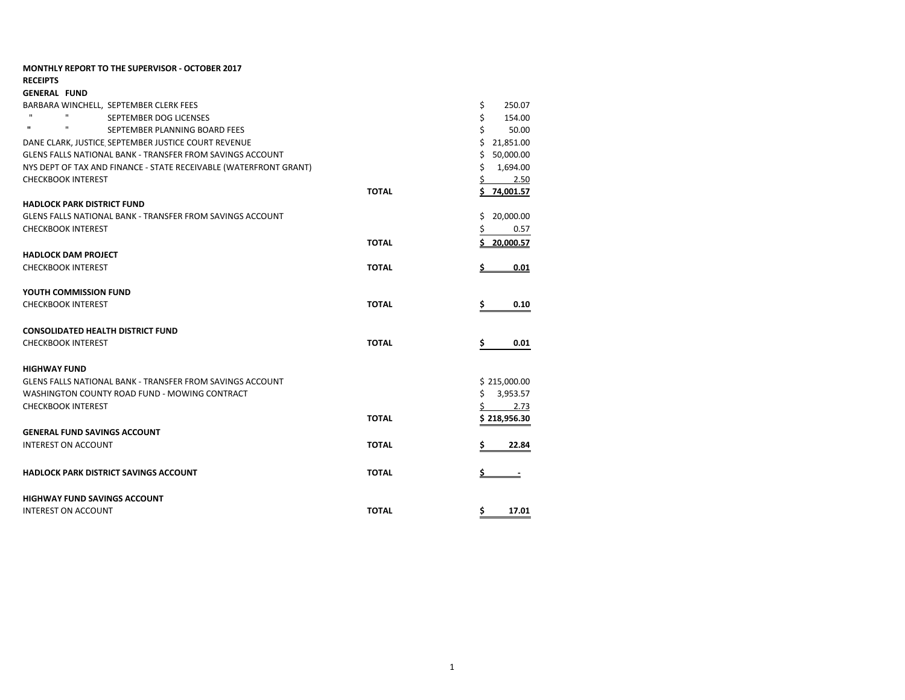| <b>MONTHLY REPORT TO THE SUPERVISOR - OCTOBER 2017</b>            |              |                    |
|-------------------------------------------------------------------|--------------|--------------------|
| <b>RECEIPTS</b>                                                   |              |                    |
| <b>GENERAL FUND</b>                                               |              |                    |
| BARBARA WINCHELL. SEPTEMBER CLERK FEES                            |              | \$<br>250.07       |
| SEPTEMBER DOG LICENSES                                            |              | \$<br>154.00       |
| $\mathbf{u}$<br>$\mathbf{u}$<br>SEPTEMBER PLANNING BOARD FEES     |              | Ś<br>50.00         |
| DANE CLARK, JUSTICE SEPTEMBER JUSTICE COURT REVENUE               |              | \$<br>21,851.00    |
| <b>GLENS FALLS NATIONAL BANK - TRANSFER FROM SAVINGS ACCOUNT</b>  |              | Ś<br>50,000.00     |
| NYS DEPT OF TAX AND FINANCE - STATE RECEIVABLE (WATERFRONT GRANT) |              | Ś.<br>1,694.00     |
| <b>CHECKBOOK INTEREST</b>                                         |              | 2.50               |
|                                                                   | <b>TOTAL</b> | <u>\$74.001.57</u> |
| <b>HADLOCK PARK DISTRICT FUND</b>                                 |              |                    |
| <b>GLENS FALLS NATIONAL BANK - TRANSFER FROM SAVINGS ACCOUNT</b>  |              | Ś<br>20,000.00     |
| <b>CHECKBOOK INTEREST</b>                                         |              | 0.57               |
|                                                                   | <b>TOTAL</b> | 20.000.57<br>Ś.    |
| <b>HADLOCK DAM PROJECT</b>                                        |              |                    |
| <b>CHECKBOOK INTEREST</b>                                         | <b>TOTAL</b> | 0.01               |
|                                                                   |              |                    |
| YOUTH COMMISSION FUND                                             |              |                    |
| <b>CHECKBOOK INTEREST</b>                                         | <b>TOTAL</b> | S<br>0.10          |
|                                                                   |              |                    |
| <b>CONSOLIDATED HEALTH DISTRICT FUND</b>                          |              |                    |
| <b>CHECKBOOK INTEREST</b>                                         | <b>TOTAL</b> | \$<br>0.01         |
|                                                                   |              |                    |
| <b>HIGHWAY FUND</b>                                               |              |                    |
| <b>GLENS FALLS NATIONAL BANK - TRANSFER FROM SAVINGS ACCOUNT</b>  |              | \$215,000.00       |
| WASHINGTON COUNTY ROAD FUND - MOWING CONTRACT                     |              | Ś.<br>3,953.57     |
| <b>CHECKBOOK INTEREST</b>                                         |              | 2.73               |
|                                                                   | <b>TOTAL</b> | \$218,956.30       |
| <b>GENERAL FUND SAVINGS ACCOUNT</b>                               |              |                    |
| <b>INTEREST ON ACCOUNT</b>                                        | <b>TOTAL</b> | 22.84              |
|                                                                   |              |                    |
| <b>HADLOCK PARK DISTRICT SAVINGS ACCOUNT</b>                      | <b>TOTAL</b> |                    |
|                                                                   |              |                    |
| <b>HIGHWAY FUND SAVINGS ACCOUNT</b>                               |              |                    |
| <b>INTEREST ON ACCOUNT</b>                                        | <b>TOTAL</b> | 17.01<br>Ş.        |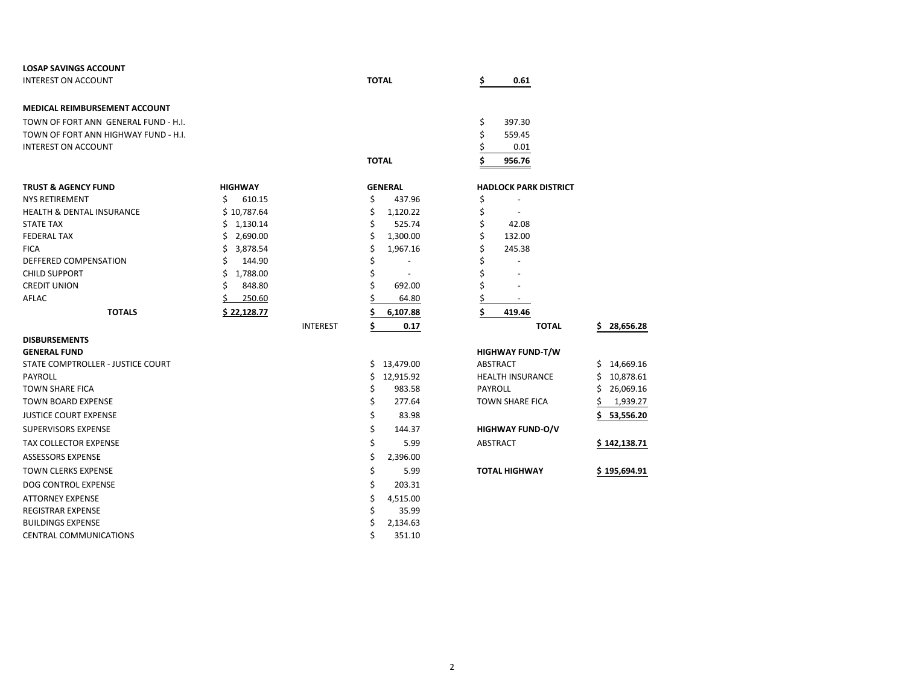| <b>LOSAP SAVINGS ACCOUNT</b>         |                |                 |                      |    |                              |                 |
|--------------------------------------|----------------|-----------------|----------------------|----|------------------------------|-----------------|
| <b>INTEREST ON ACCOUNT</b>           |                |                 | <b>TOTAL</b>         | Ś  | 0.61                         |                 |
|                                      |                |                 |                      |    |                              |                 |
| <b>MEDICAL REIMBURSEMENT ACCOUNT</b> |                |                 |                      |    |                              |                 |
| TOWN OF FORT ANN GENERAL FUND - H.I. |                |                 |                      | \$ | 397.30                       |                 |
| TOWN OF FORT ANN HIGHWAY FUND - H.I. |                |                 |                      | \$ | 559.45                       |                 |
| <b>INTEREST ON ACCOUNT</b>           |                |                 |                      | \$ | 0.01                         |                 |
|                                      |                |                 | <b>TOTAL</b>         | Ś  | 956.76                       |                 |
| <b>TRUST &amp; AGENCY FUND</b>       | <b>HIGHWAY</b> |                 | <b>GENERAL</b>       |    | <b>HADLOCK PARK DISTRICT</b> |                 |
| <b>NYS RETIREMENT</b>                | Ś<br>610.15    |                 | \$<br>437.96         | \$ |                              |                 |
| <b>HEALTH &amp; DENTAL INSURANCE</b> | \$10,787.64    |                 | \$<br>1,120.22       | \$ |                              |                 |
| <b>STATE TAX</b>                     | \$1,130.14     |                 | \$<br>525.74         | \$ | 42.08                        |                 |
| <b>FEDERAL TAX</b>                   | 2,690.00<br>\$ |                 | \$<br>1,300.00       | \$ | 132.00                       |                 |
| <b>FICA</b>                          | \$<br>3,878.54 |                 | \$<br>1,967.16       | \$ | 245.38                       |                 |
| DEFFERED COMPENSATION                | 144.90<br>Ś    |                 | \$                   | Ś  |                              |                 |
| <b>CHILD SUPPORT</b>                 | \$<br>1,788.00 |                 | \$<br>$\overline{a}$ | \$ |                              |                 |
| <b>CREDIT UNION</b>                  | Ś<br>848.80    |                 | \$<br>692.00         | \$ |                              |                 |
| AFLAC                                | 250.60         |                 | 64.80                | \$ |                              |                 |
| <b>TOTALS</b>                        | \$22,128.77    |                 | 6,107.88             | \$ | 419.46                       |                 |
|                                      |                | <b>INTEREST</b> | \$<br>0.17           |    | <b>TOTAL</b>                 | 28,656.28<br>S. |
| <b>DISBURSEMENTS</b>                 |                |                 |                      |    |                              |                 |
| <b>GENERAL FUND</b>                  |                |                 |                      |    | <b>HIGHWAY FUND-T/W</b>      |                 |
| STATE COMPTROLLER - JUSTICE COURT    |                |                 | \$13,479.00          |    | <b>ABSTRACT</b>              | Ś.<br>14,669.16 |
| <b>PAYROLL</b>                       |                |                 | \$<br>12,915.92      |    | <b>HEALTH INSURANCE</b>      | 10,878.61<br>Ś. |
| <b>TOWN SHARE FICA</b>               |                |                 | \$<br>983.58         |    | <b>PAYROLL</b>               | \$<br>26,069.16 |
| <b>TOWN BOARD EXPENSE</b>            |                |                 | \$<br>277.64         |    | <b>TOWN SHARE FICA</b>       | 1,939.27        |
| <b>JUSTICE COURT EXPENSE</b>         |                |                 | \$<br>83.98          |    |                              | 53,556.20<br>Ś  |
| <b>SUPERVISORS EXPENSE</b>           |                |                 | \$<br>144.37         |    | <b>HIGHWAY FUND-O/V</b>      |                 |
| <b>TAX COLLECTOR EXPENSE</b>         |                |                 | \$<br>5.99           |    | <b>ABSTRACT</b>              | \$142,138.71    |
| <b>ASSESSORS EXPENSE</b>             |                |                 | \$<br>2,396.00       |    |                              |                 |
| <b>TOWN CLERKS EXPENSE</b>           |                |                 | \$<br>5.99           |    | <b>TOTAL HIGHWAY</b>         | \$195,694.91    |
| <b>DOG CONTROL EXPENSE</b>           |                |                 | \$<br>203.31         |    |                              |                 |
| <b>ATTORNEY EXPENSE</b>              |                |                 | \$<br>4,515.00       |    |                              |                 |
| REGISTRAR EXPENSE                    |                |                 | \$<br>35.99          |    |                              |                 |
| <b>BUILDINGS EXPENSE</b>             |                |                 | \$<br>2,134.63       |    |                              |                 |
| <b>CENTRAL COMMUNICATIONS</b>        |                |                 | \$<br>351.10         |    |                              |                 |
|                                      |                |                 |                      |    |                              |                 |

| ۰. |  |
|----|--|
|    |  |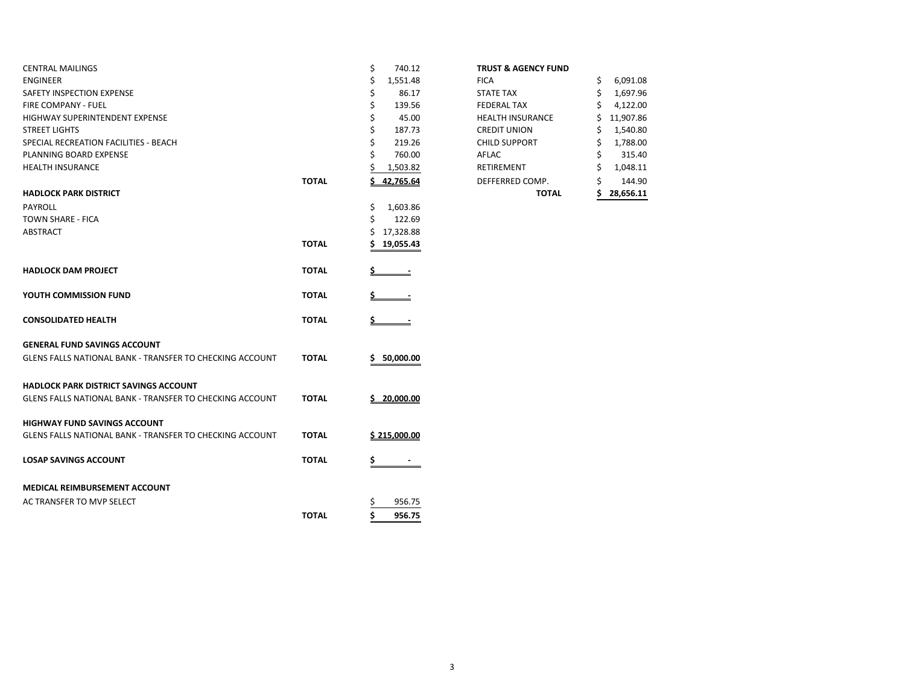| <b>CENTRAL MAILINGS</b>                                         |              | \$<br>740.12  | <b>TRUST &amp; AGENCY FUND</b> |    |           |
|-----------------------------------------------------------------|--------------|---------------|--------------------------------|----|-----------|
| <b>ENGINEER</b>                                                 |              | 1,551.48      | <b>FICA</b>                    | \$ | 6,091.08  |
| SAFETY INSPECTION EXPENSE                                       |              | Ś<br>86.17    | <b>STATE TAX</b>               | Ś  | 1,697.96  |
| <b>FIRE COMPANY - FUEL</b>                                      |              | \$<br>139.56  | <b>FEDERAL TAX</b>             |    | 4,122.00  |
| <b>HIGHWAY SUPERINTENDENT EXPENSE</b>                           |              | 45.00         | <b>HEALTH INSURANCE</b>        |    | 11,907.86 |
| <b>STREET LIGHTS</b>                                            |              | 187.73        | <b>CREDIT UNION</b>            |    | 1,540.80  |
| SPECIAL RECREATION FACILITIES - BEACH                           |              | 219.26        | <b>CHILD SUPPORT</b>           |    | 1,788.00  |
| PLANNING BOARD EXPENSE                                          |              | 760.00        | AFLAC                          |    | 315.40    |
| <b>HEALTH INSURANCE</b>                                         |              | 1,503.82      | RETIREMENT                     |    | 1,048.11  |
|                                                                 | <b>TOTAL</b> | 42,765.64     | DEFFERRED COMP.                |    | 144.90    |
| <b>HADLOCK PARK DISTRICT</b>                                    |              |               | <b>TOTAL</b>                   |    | 28,656.11 |
| <b>PAYROLL</b>                                                  |              | Ś<br>1,603.86 |                                |    |           |
| <b>TOWN SHARE - FICA</b>                                        |              | 122.69        |                                |    |           |
| ABSTRACT                                                        |              | 17,328.88     |                                |    |           |
|                                                                 | <b>TOTAL</b> | 19,055.43     |                                |    |           |
|                                                                 |              |               |                                |    |           |
| <b>HADLOCK DAM PROJECT</b>                                      | <b>TOTAL</b> |               |                                |    |           |
|                                                                 |              |               |                                |    |           |
| YOUTH COMMISSION FUND                                           | <b>TOTAL</b> |               |                                |    |           |
| <b>CONSOLIDATED HEALTH</b>                                      | <b>TOTAL</b> | <u>s.</u>     |                                |    |           |
| <b>GENERAL FUND SAVINGS ACCOUNT</b>                             |              |               |                                |    |           |
| <b>GLENS FALLS NATIONAL BANK - TRANSFER TO CHECKING ACCOUNT</b> | <b>TOTAL</b> | 50,000.00     |                                |    |           |
| <b>HADLOCK PARK DISTRICT SAVINGS ACCOUNT</b>                    |              |               |                                |    |           |
| <b>GLENS FALLS NATIONAL BANK - TRANSFER TO CHECKING ACCOUNT</b> | <b>TOTAL</b> | 5 20.000.00   |                                |    |           |
| <b>HIGHWAY FUND SAVINGS ACCOUNT</b>                             |              |               |                                |    |           |
| <b>GLENS FALLS NATIONAL BANK - TRANSFER TO CHECKING ACCOUNT</b> | <b>TOTAL</b> | \$215,000.00  |                                |    |           |
| <b>LOSAP SAVINGS ACCOUNT</b>                                    | <b>TOTAL</b> | \$            |                                |    |           |
| <b>MEDICAL REIMBURSEMENT ACCOUNT</b>                            |              |               |                                |    |           |
| AC TRANSFER TO MVP SELECT                                       |              | 956.75        |                                |    |           |
|                                                                 | <b>TOTAL</b> | Ś<br>956.75   |                                |    |           |
|                                                                 |              |               |                                |    |           |

|  | <b>TRUST &amp; AGENCY FUND</b> |  |
|--|--------------------------------|--|
|--|--------------------------------|--|

|       |                | <b>TOTAL</b>            | ¢  | 28,656.11 |
|-------|----------------|-------------------------|----|-----------|
| ΤΟΤΑL | 42,765.64      | DEFFERRED COMP.         | \$ | 144.90    |
|       | 1,503.82       | <b>RETIREMENT</b>       | \$ | 1,048.11  |
|       | \$<br>760.00   | AFLAC                   | \$ | 315.40    |
|       | \$<br>219.26   | <b>CHILD SUPPORT</b>    | \$ | 1,788.00  |
|       | \$<br>187.73   | <b>CREDIT UNION</b>     | \$ | 1,540.80  |
|       | \$<br>45.00    | <b>HEALTH INSURANCE</b> | \$ | 11,907.86 |
|       | \$<br>139.56   | <b>FEDERAL TAX</b>      | \$ | 4,122.00  |
|       | \$<br>86.17    | <b>STATE TAX</b>        | \$ | 1,697.96  |
|       | \$<br>1,551.48 | <b>FICA</b>             | \$ | 6,091.08  |